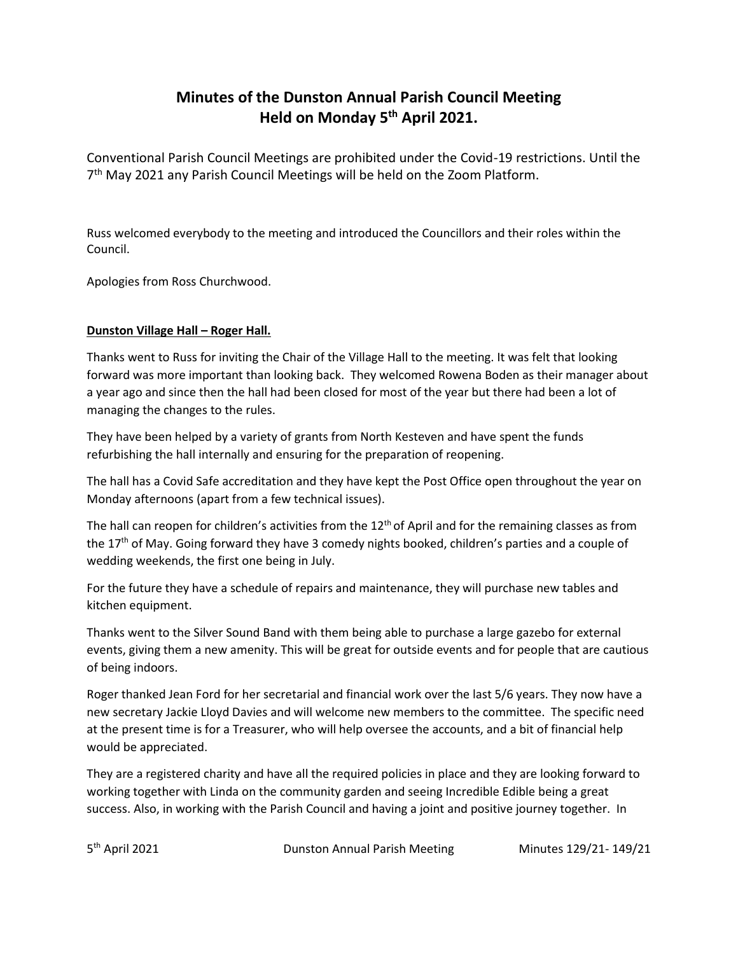# **Minutes of the Dunston Annual Parish Council Meeting Held on Monday 5th April 2021.**

Conventional Parish Council Meetings are prohibited under the Covid-19 restrictions. Until the 7<sup>th</sup> May 2021 any Parish Council Meetings will be held on the Zoom Platform.

Russ welcomed everybody to the meeting and introduced the Councillors and their roles within the Council.

Apologies from Ross Churchwood.

## **Dunston Village Hall – Roger Hall.**

Thanks went to Russ for inviting the Chair of the Village Hall to the meeting. It was felt that looking forward was more important than looking back. They welcomed Rowena Boden as their manager about a year ago and since then the hall had been closed for most of the year but there had been a lot of managing the changes to the rules.

They have been helped by a variety of grants from North Kesteven and have spent the funds refurbishing the hall internally and ensuring for the preparation of reopening.

The hall has a Covid Safe accreditation and they have kept the Post Office open throughout the year on Monday afternoons (apart from a few technical issues).

The hall can reopen for children's activities from the  $12<sup>th</sup>$  of April and for the remaining classes as from the 17<sup>th</sup> of May. Going forward they have 3 comedy nights booked, children's parties and a couple of wedding weekends, the first one being in July.

For the future they have a schedule of repairs and maintenance, they will purchase new tables and kitchen equipment.

Thanks went to the Silver Sound Band with them being able to purchase a large gazebo for external events, giving them a new amenity. This will be great for outside events and for people that are cautious of being indoors.

Roger thanked Jean Ford for her secretarial and financial work over the last 5/6 years. They now have a new secretary Jackie Lloyd Davies and will welcome new members to the committee. The specific need at the present time is for a Treasurer, who will help oversee the accounts, and a bit of financial help would be appreciated.

They are a registered charity and have all the required policies in place and they are looking forward to working together with Linda on the community garden and seeing Incredible Edible being a great success. Also, in working with the Parish Council and having a joint and positive journey together. In

5<sup>th</sup> April 2021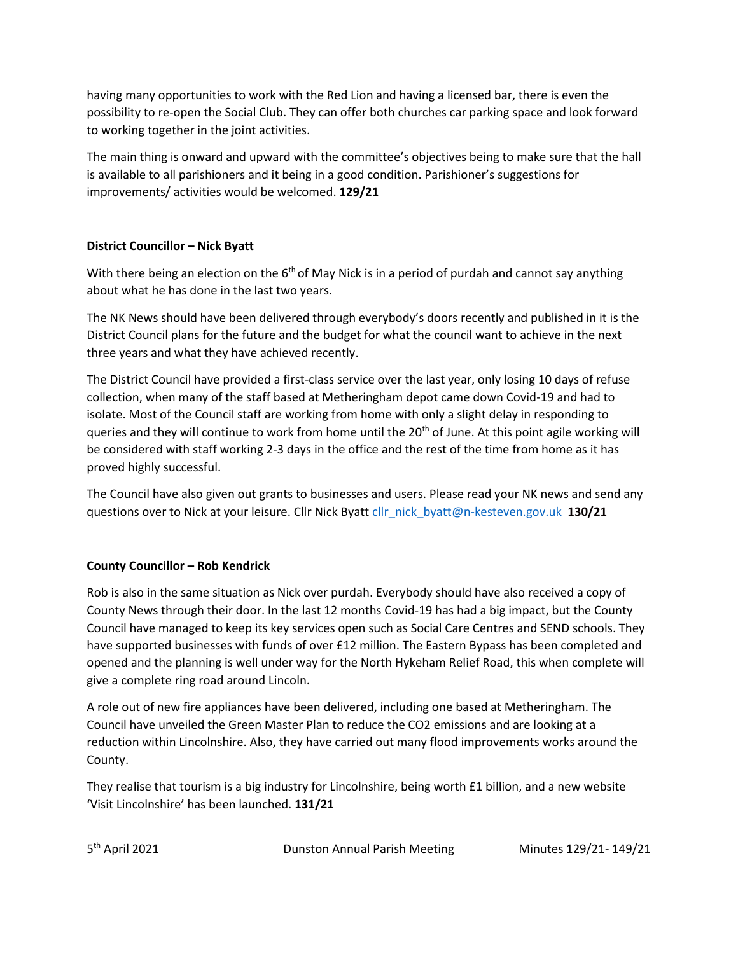having many opportunities to work with the Red Lion and having a licensed bar, there is even the possibility to re-open the Social Club. They can offer both churches car parking space and look forward to working together in the joint activities.

The main thing is onward and upward with the committee's objectives being to make sure that the hall is available to all parishioners and it being in a good condition. Parishioner's suggestions for improvements/ activities would be welcomed. **129/21**

# **District Councillor – Nick Byatt**

With there being an election on the  $6<sup>th</sup>$  of May Nick is in a period of purdah and cannot say anything about what he has done in the last two years.

The NK News should have been delivered through everybody's doors recently and published in it is the District Council plans for the future and the budget for what the council want to achieve in the next three years and what they have achieved recently.

The District Council have provided a first-class service over the last year, only losing 10 days of refuse collection, when many of the staff based at Metheringham depot came down Covid-19 and had to isolate. Most of the Council staff are working from home with only a slight delay in responding to queries and they will continue to work from home until the  $20<sup>th</sup>$  of June. At this point agile working will be considered with staff working 2-3 days in the office and the rest of the time from home as it has proved highly successful.

The Council have also given out grants to businesses and users. Please read your NK news and send any questions over to Nick at your leisure. Cllr Nick Byatt [cllr\\_nick\\_byatt@n-kesteven.gov.uk](mailto:cllr_nick_byatt@n-kesteven.gov.uk) **130/21**

## **County Councillor – Rob Kendrick**

Rob is also in the same situation as Nick over purdah. Everybody should have also received a copy of County News through their door. In the last 12 months Covid-19 has had a big impact, but the County Council have managed to keep its key services open such as Social Care Centres and SEND schools. They have supported businesses with funds of over £12 million. The Eastern Bypass has been completed and opened and the planning is well under way for the North Hykeham Relief Road, this when complete will give a complete ring road around Lincoln.

A role out of new fire appliances have been delivered, including one based at Metheringham. The Council have unveiled the Green Master Plan to reduce the CO2 emissions and are looking at a reduction within Lincolnshire. Also, they have carried out many flood improvements works around the County.

They realise that tourism is a big industry for Lincolnshire, being worth £1 billion, and a new website 'Visit Lincolnshire' has been launched. **131/21**

5<sup>th</sup> April 2021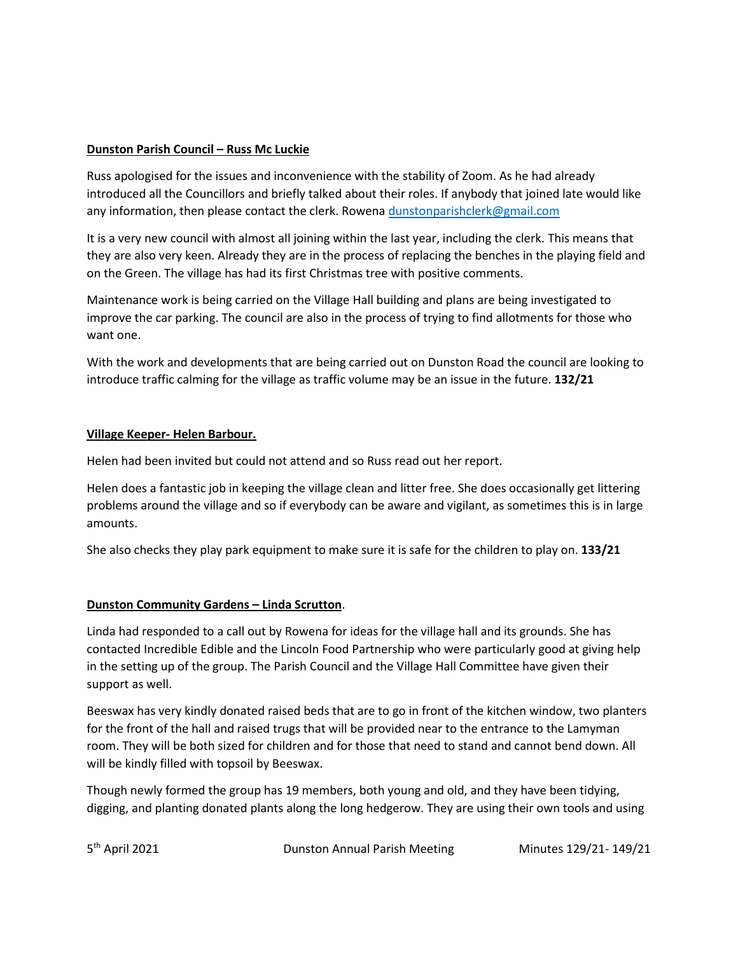## **Dunston Parish Council – Russ Mc Luckie**

Russ apologised for the issues and inconvenience with the stability of Zoom. As he had already introduced all the Councillors and briefly talked about their roles. If anybody that joined late would like any information, then please contact the clerk. Rowena [dunstonparishclerk@gmail.com](mailto:dunstonparishclerk@gmail.com)

It is a very new council with almost all joining within the last year, including the clerk. This means that they are also very keen. Already they are in the process of replacing the benches in the playing field and on the Green. The village has had its first Christmas tree with positive comments.

Maintenance work is being carried on the Village Hall building and plans are being investigated to improve the car parking. The council are also in the process of trying to find allotments for those who want one.

With the work and developments that are being carried out on Dunston Road the council are looking to introduce traffic calming for the village as traffic volume may be an issue in the future. **132/21**

## **Village Keeper- Helen Barbour.**

Helen had been invited but could not attend and so Russ read out her report.

Helen does a fantastic job in keeping the village clean and litter free. She does occasionally get littering problems around the village and so if everybody can be aware and vigilant, as sometimes this is in large amounts.

She also checks they play park equipment to make sure it is safe for the children to play on. **133/21**

#### **Dunston Community Gardens – Linda Scrutton**.

Linda had responded to a call out by Rowena for ideas for the village hall and its grounds. She has contacted Incredible Edible and the Lincoln Food Partnership who were particularly good at giving help in the setting up of the group. The Parish Council and the Village Hall Committee have given their support as well.

Beeswax has very kindly donated raised beds that are to go in front of the kitchen window, two planters for the front of the hall and raised trugs that will be provided near to the entrance to the Lamyman room. They will be both sized for children and for those that need to stand and cannot bend down. All will be kindly filled with topsoil by Beeswax.

Though newly formed the group has 19 members, both young and old, and they have been tidying, digging, and planting donated plants along the long hedgerow. They are using their own tools and using

5<sup>th</sup> April 2021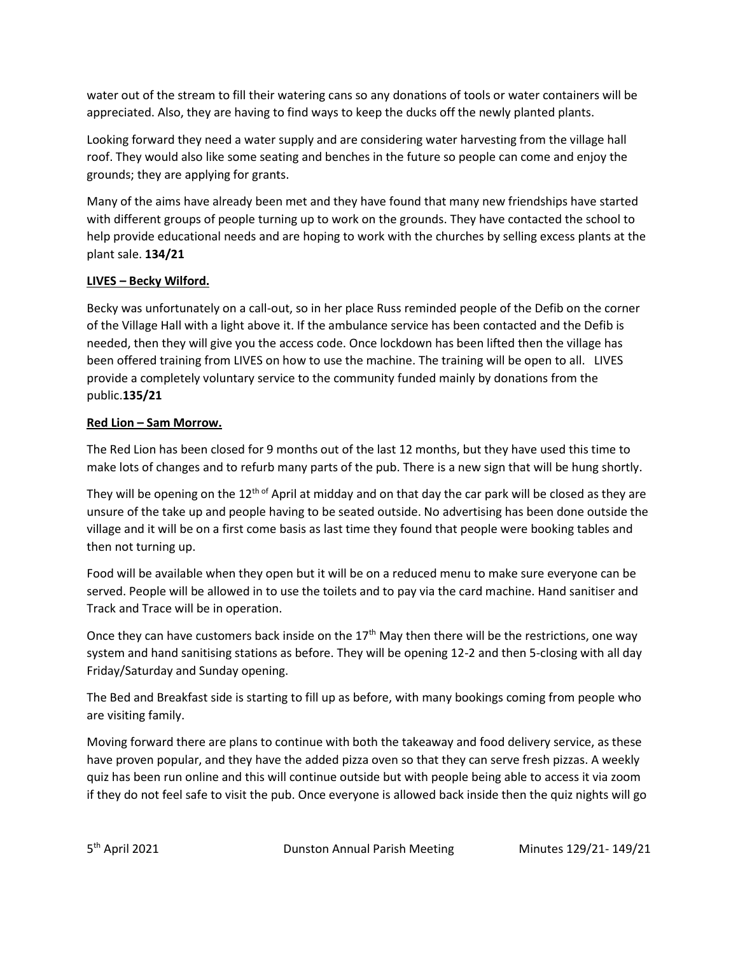water out of the stream to fill their watering cans so any donations of tools or water containers will be appreciated. Also, they are having to find ways to keep the ducks off the newly planted plants.

Looking forward they need a water supply and are considering water harvesting from the village hall roof. They would also like some seating and benches in the future so people can come and enjoy the grounds; they are applying for grants.

Many of the aims have already been met and they have found that many new friendships have started with different groups of people turning up to work on the grounds. They have contacted the school to help provide educational needs and are hoping to work with the churches by selling excess plants at the plant sale. **134/21**

# **LIVES – Becky Wilford.**

Becky was unfortunately on a call-out, so in her place Russ reminded people of the Defib on the corner of the Village Hall with a light above it. If the ambulance service has been contacted and the Defib is needed, then they will give you the access code. Once lockdown has been lifted then the village has been offered training from LIVES on how to use the machine. The training will be open to all. LIVES provide a completely voluntary service to the community funded mainly by donations from the public.**135/21**

# **Red Lion – Sam Morrow.**

The Red Lion has been closed for 9 months out of the last 12 months, but they have used this time to make lots of changes and to refurb many parts of the pub. There is a new sign that will be hung shortly.

They will be opening on the  $12<sup>th of</sup>$  April at midday and on that day the car park will be closed as they are unsure of the take up and people having to be seated outside. No advertising has been done outside the village and it will be on a first come basis as last time they found that people were booking tables and then not turning up.

Food will be available when they open but it will be on a reduced menu to make sure everyone can be served. People will be allowed in to use the toilets and to pay via the card machine. Hand sanitiser and Track and Trace will be in operation.

Once they can have customers back inside on the  $17<sup>th</sup>$  May then there will be the restrictions, one way system and hand sanitising stations as before. They will be opening 12-2 and then 5-closing with all day Friday/Saturday and Sunday opening.

The Bed and Breakfast side is starting to fill up as before, with many bookings coming from people who are visiting family.

Moving forward there are plans to continue with both the takeaway and food delivery service, as these have proven popular, and they have the added pizza oven so that they can serve fresh pizzas. A weekly quiz has been run online and this will continue outside but with people being able to access it via zoom if they do not feel safe to visit the pub. Once everyone is allowed back inside then the quiz nights will go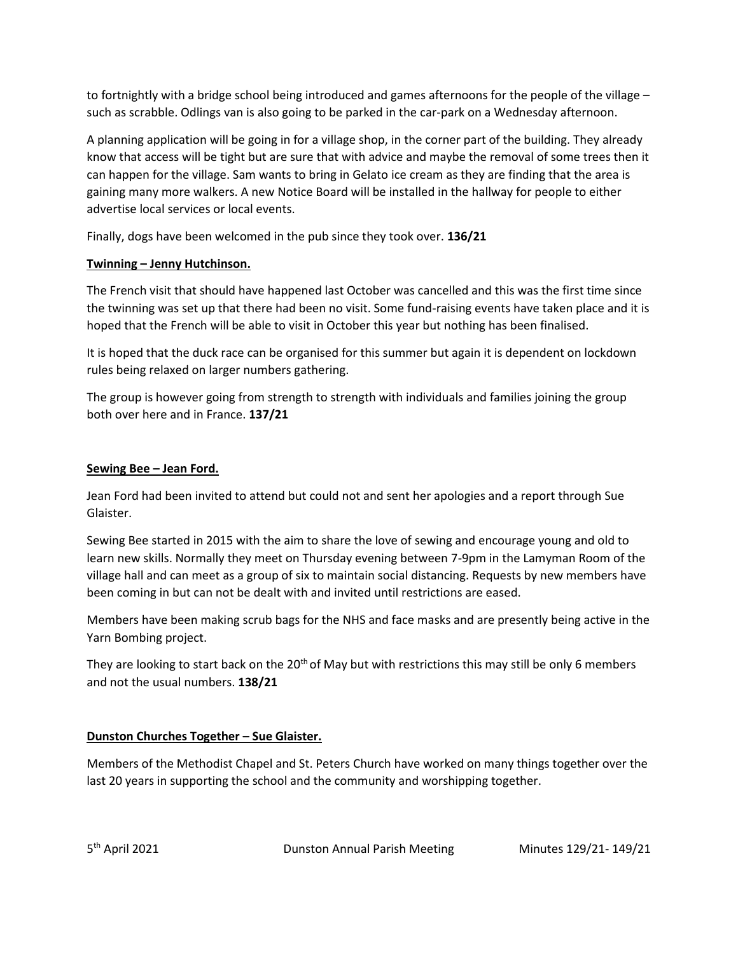to fortnightly with a bridge school being introduced and games afternoons for the people of the village – such as scrabble. Odlings van is also going to be parked in the car-park on a Wednesday afternoon.

A planning application will be going in for a village shop, in the corner part of the building. They already know that access will be tight but are sure that with advice and maybe the removal of some trees then it can happen for the village. Sam wants to bring in Gelato ice cream as they are finding that the area is gaining many more walkers. A new Notice Board will be installed in the hallway for people to either advertise local services or local events.

Finally, dogs have been welcomed in the pub since they took over. **136/21**

## **Twinning – Jenny Hutchinson.**

The French visit that should have happened last October was cancelled and this was the first time since the twinning was set up that there had been no visit. Some fund-raising events have taken place and it is hoped that the French will be able to visit in October this year but nothing has been finalised.

It is hoped that the duck race can be organised for this summer but again it is dependent on lockdown rules being relaxed on larger numbers gathering.

The group is however going from strength to strength with individuals and families joining the group both over here and in France. **137/21**

## **Sewing Bee – Jean Ford.**

Jean Ford had been invited to attend but could not and sent her apologies and a report through Sue Glaister.

Sewing Bee started in 2015 with the aim to share the love of sewing and encourage young and old to learn new skills. Normally they meet on Thursday evening between 7-9pm in the Lamyman Room of the village hall and can meet as a group of six to maintain social distancing. Requests by new members have been coming in but can not be dealt with and invited until restrictions are eased.

Members have been making scrub bags for the NHS and face masks and are presently being active in the Yarn Bombing project.

They are looking to start back on the 20<sup>th</sup> of May but with restrictions this may still be only 6 members and not the usual numbers. **138/21**

## **Dunston Churches Together – Sue Glaister.**

Members of the Methodist Chapel and St. Peters Church have worked on many things together over the last 20 years in supporting the school and the community and worshipping together.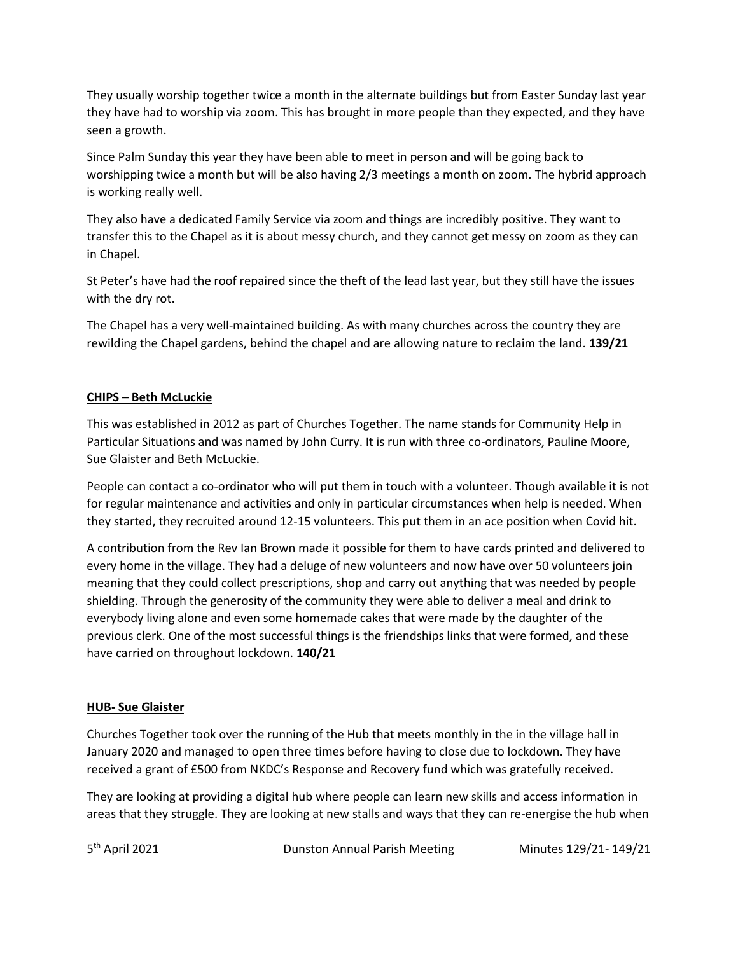They usually worship together twice a month in the alternate buildings but from Easter Sunday last year they have had to worship via zoom. This has brought in more people than they expected, and they have seen a growth.

Since Palm Sunday this year they have been able to meet in person and will be going back to worshipping twice a month but will be also having 2/3 meetings a month on zoom. The hybrid approach is working really well.

They also have a dedicated Family Service via zoom and things are incredibly positive. They want to transfer this to the Chapel as it is about messy church, and they cannot get messy on zoom as they can in Chapel.

St Peter's have had the roof repaired since the theft of the lead last year, but they still have the issues with the dry rot.

The Chapel has a very well-maintained building. As with many churches across the country they are rewilding the Chapel gardens, behind the chapel and are allowing nature to reclaim the land. **139/21**

## **CHIPS – Beth McLuckie**

This was established in 2012 as part of Churches Together. The name stands for Community Help in Particular Situations and was named by John Curry. It is run with three co-ordinators, Pauline Moore, Sue Glaister and Beth McLuckie.

People can contact a co-ordinator who will put them in touch with a volunteer. Though available it is not for regular maintenance and activities and only in particular circumstances when help is needed. When they started, they recruited around 12-15 volunteers. This put them in an ace position when Covid hit.

A contribution from the Rev Ian Brown made it possible for them to have cards printed and delivered to every home in the village. They had a deluge of new volunteers and now have over 50 volunteers join meaning that they could collect prescriptions, shop and carry out anything that was needed by people shielding. Through the generosity of the community they were able to deliver a meal and drink to everybody living alone and even some homemade cakes that were made by the daughter of the previous clerk. One of the most successful things is the friendships links that were formed, and these have carried on throughout lockdown. **140/21**

## **HUB- Sue Glaister**

Churches Together took over the running of the Hub that meets monthly in the in the village hall in January 2020 and managed to open three times before having to close due to lockdown. They have received a grant of £500 from NKDC's Response and Recovery fund which was gratefully received.

They are looking at providing a digital hub where people can learn new skills and access information in areas that they struggle. They are looking at new stalls and ways that they can re-energise the hub when

5<sup>th</sup> April 2021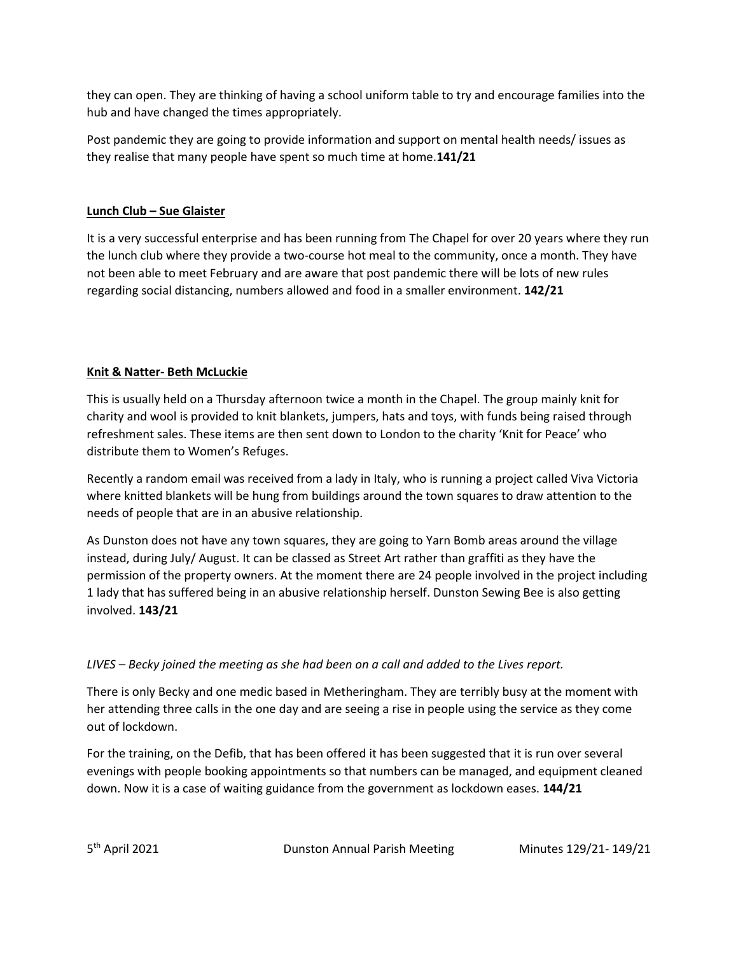they can open. They are thinking of having a school uniform table to try and encourage families into the hub and have changed the times appropriately.

Post pandemic they are going to provide information and support on mental health needs/ issues as they realise that many people have spent so much time at home.**141/21**

# **Lunch Club – Sue Glaister**

It is a very successful enterprise and has been running from The Chapel for over 20 years where they run the lunch club where they provide a two-course hot meal to the community, once a month. They have not been able to meet February and are aware that post pandemic there will be lots of new rules regarding social distancing, numbers allowed and food in a smaller environment. **142/21**

# **Knit & Natter- Beth McLuckie**

This is usually held on a Thursday afternoon twice a month in the Chapel. The group mainly knit for charity and wool is provided to knit blankets, jumpers, hats and toys, with funds being raised through refreshment sales. These items are then sent down to London to the charity 'Knit for Peace' who distribute them to Women's Refuges.

Recently a random email was received from a lady in Italy, who is running a project called Viva Victoria where knitted blankets will be hung from buildings around the town squares to draw attention to the needs of people that are in an abusive relationship.

As Dunston does not have any town squares, they are going to Yarn Bomb areas around the village instead, during July/ August. It can be classed as Street Art rather than graffiti as they have the permission of the property owners. At the moment there are 24 people involved in the project including 1 lady that has suffered being in an abusive relationship herself. Dunston Sewing Bee is also getting involved. **143/21**

# *LIVES – Becky joined the meeting as she had been on a call and added to the Lives report.*

There is only Becky and one medic based in Metheringham. They are terribly busy at the moment with her attending three calls in the one day and are seeing a rise in people using the service as they come out of lockdown.

For the training, on the Defib, that has been offered it has been suggested that it is run over several evenings with people booking appointments so that numbers can be managed, and equipment cleaned down. Now it is a case of waiting guidance from the government as lockdown eases. **144/21**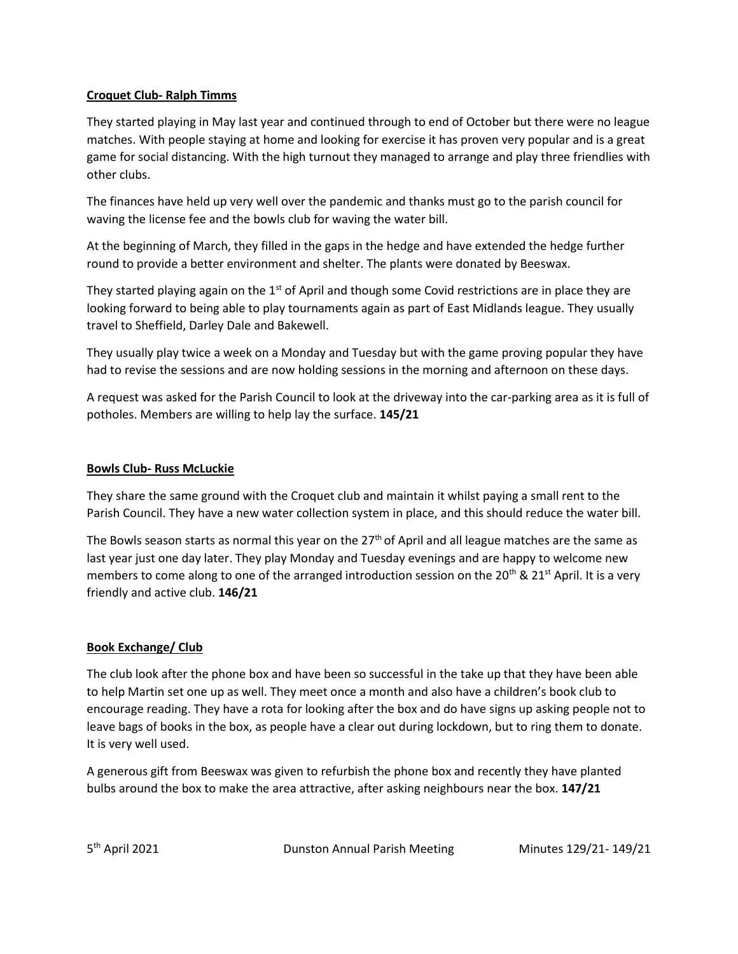## **Croquet Club- Ralph Timms**

They started playing in May last year and continued through to end of October but there were no league matches. With people staying at home and looking for exercise it has proven very popular and is a great game for social distancing. With the high turnout they managed to arrange and play three friendlies with other clubs.

The finances have held up very well over the pandemic and thanks must go to the parish council for waving the license fee and the bowls club for waving the water bill.

At the beginning of March, they filled in the gaps in the hedge and have extended the hedge further round to provide a better environment and shelter. The plants were donated by Beeswax.

They started playing again on the  $1<sup>st</sup>$  of April and though some Covid restrictions are in place they are looking forward to being able to play tournaments again as part of East Midlands league. They usually travel to Sheffield, Darley Dale and Bakewell.

They usually play twice a week on a Monday and Tuesday but with the game proving popular they have had to revise the sessions and are now holding sessions in the morning and afternoon on these days.

A request was asked for the Parish Council to look at the driveway into the car-parking area as it is full of potholes. Members are willing to help lay the surface. **145/21**

#### **Bowls Club- Russ McLuckie**

They share the same ground with the Croquet club and maintain it whilst paying a small rent to the Parish Council. They have a new water collection system in place, and this should reduce the water bill.

The Bowls season starts as normal this year on the  $27<sup>th</sup>$  of April and all league matches are the same as last year just one day later. They play Monday and Tuesday evenings and are happy to welcome new members to come along to one of the arranged introduction session on the 20<sup>th</sup> & 21<sup>st</sup> April. It is a very friendly and active club. **146/21**

## **Book Exchange/ Club**

The club look after the phone box and have been so successful in the take up that they have been able to help Martin set one up as well. They meet once a month and also have a children's book club to encourage reading. They have a rota for looking after the box and do have signs up asking people not to leave bags of books in the box, as people have a clear out during lockdown, but to ring them to donate. It is very well used.

A generous gift from Beeswax was given to refurbish the phone box and recently they have planted bulbs around the box to make the area attractive, after asking neighbours near the box. **147/21**

5<sup>th</sup> April 2021